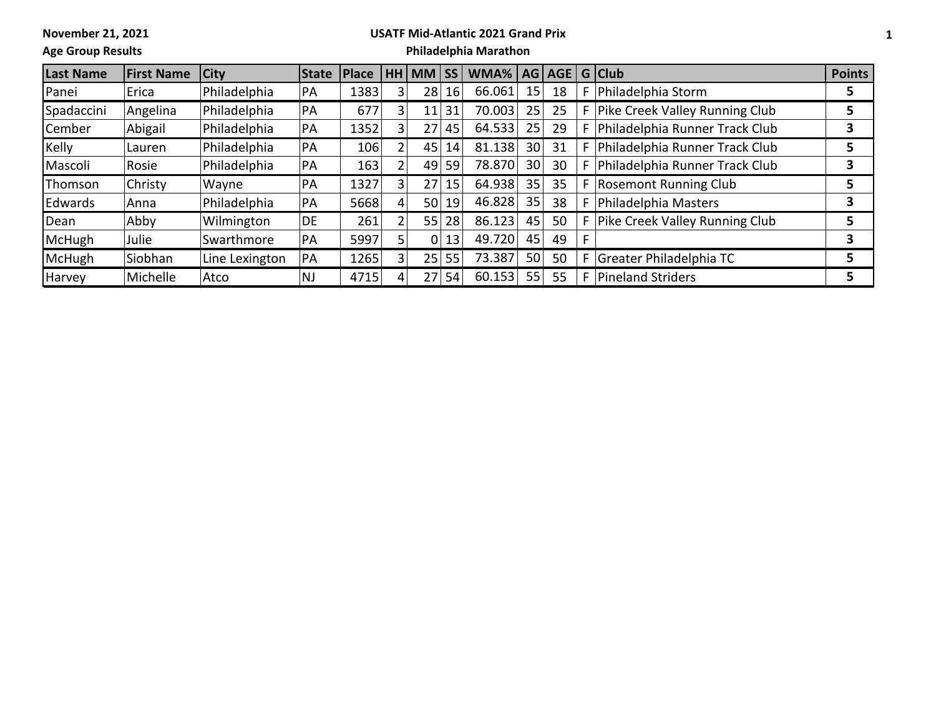**November 21, 2021**

## **USATF Mid-Atlantic 2021 Grand Prix**

**Age Group Results**

## **Philadelphia Marathon**

| <b>Last Name</b> | <b>First Name</b> | City           | <b>State</b> | <b>Place</b> |                | HH MM           | ISS | WMA%   AG   AGE   G   Club |    |    |   |                                  | <b>Points</b> |
|------------------|-------------------|----------------|--------------|--------------|----------------|-----------------|-----|----------------------------|----|----|---|----------------------------------|---------------|
| Panei            | Erica             | Philadelphia   | PA           | 1383         | 3              | 28              | 16  | 66.061                     | 15 | 18 |   | Philadelphia Storm               | 5             |
| Spadaccini       | Angelina          | Philadelphia   | PA           | 677          | 3              | 11              | 31  | 70.003                     | 25 | 25 |   | Pike Creek Valley Running Club   | 5             |
| Cember           | Abigail           | Philadelphia   | PA           | 1352         | 3              | 27              | 45  | 64.533                     | 25 | 29 |   | Philadelphia Runner Track Club   | 3             |
| <b>Kelly</b>     | Lauren            | Philadelphia   | PA           | 106          |                | 45              | 14  | 81.138                     | 30 | 31 |   | Philadelphia Runner Track Club   | 5             |
| Mascoli          | Rosie             | Philadelphia   | PA           | 163          | 2              | 49              | 59  | 78.870                     | 30 | 30 |   | Philadelphia Runner Track Club   | 3             |
| <b>IThomson</b>  | Christy           | Wayne          | PA           | 1327         | 3              | 27 <sub>1</sub> | 15  | 64.938                     | 35 | 35 |   | F Rosemont Running Club          | 5             |
| <b>Edwards</b>   | Anna              | Philadelphia   | PA           | 5668         | 4              | 50 <sup>2</sup> | 19  | 46.828                     | 35 | 38 |   | Philadelphia Masters             | 3             |
| Dean             | Abby              | Wilmington     | DE.          | 261          | 2              | 55              | 28  | 86.123                     | 45 | 50 |   | F Pike Creek Valley Running Club | 5             |
| <b>McHugh</b>    | Julie             | Swarthmore     | PA           | 5997         |                | 01              | 13  | 49.720                     | 45 | 49 |   |                                  | 3             |
| <b>McHugh</b>    | Siobhan           | Line Lexington | PA           | 1265         | 3 <sup>1</sup> | 25 <sup>2</sup> | 55  | 73.387                     | 50 | 50 |   | $F$ Greater Philadelphia TC      | 5             |
| Harvey           | Michelle          | Atco           | NJ.          | 4715         |                |                 | 54  | 60.153                     | 55 | 55 | F | Pineland Striders                | 5             |